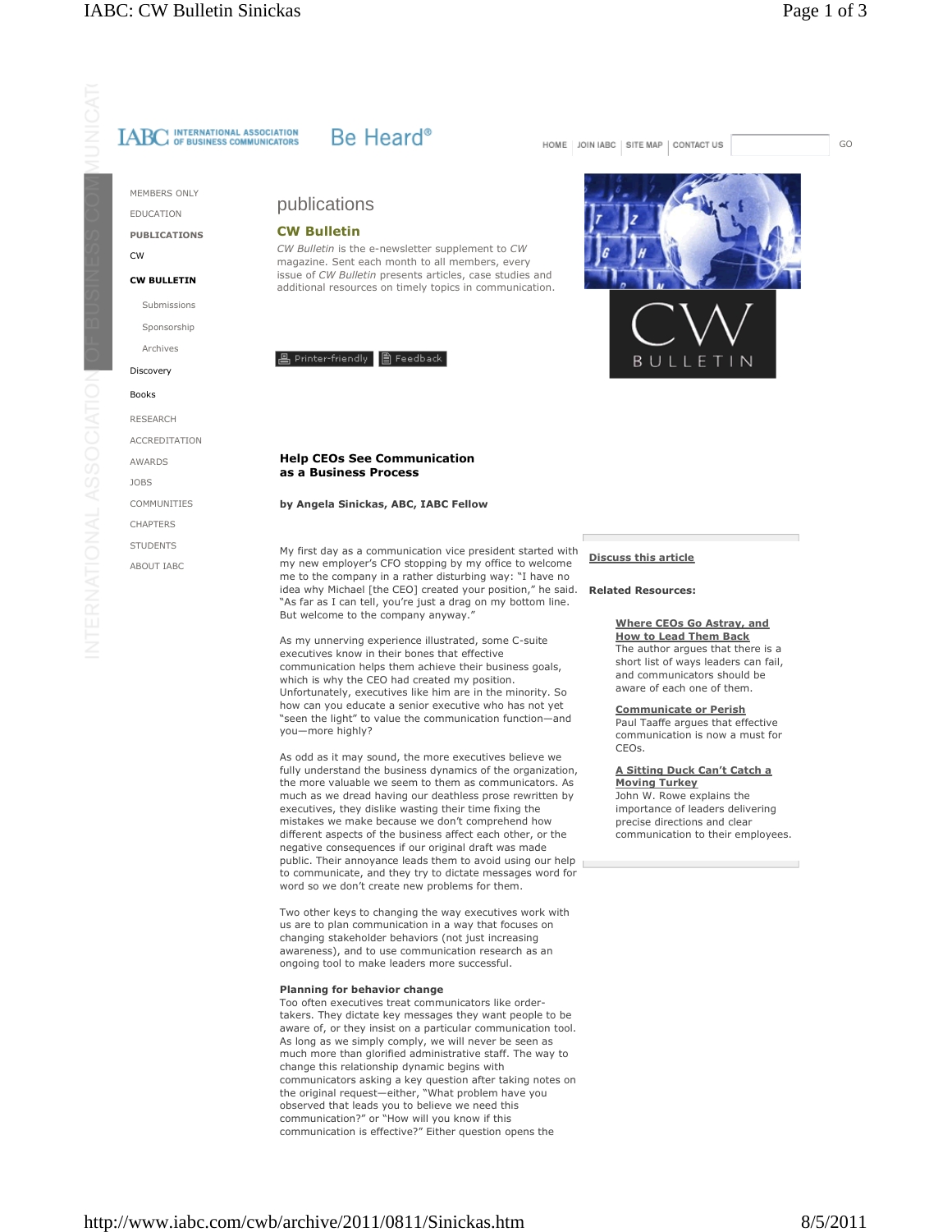MEMBERS ONLY

EDUCATION **PUBLICATIONS**  $\overline{C}W$ 

**CW BULLETIN** 

Submissions Sponsorshin

Archives

Discovery

**Books** 

**RESEARCH ACCREDITATION** AWARDS **JOBS COMMUNITIES** 

CHAPTERS **STUDENTS** 

ABOUT IABC

# Be Heard<sup>®</sup>

publications

# **CW Bulletin**

CW Bulletin is the e-newsletter supplement to CW magazine. Sent each month to all members, every issue of CW Bulletin presents articles, case studies and additional resources on timely topics in communication.



# **Help CEOs See Communication** as a Business Process

# by Angela Sinickas, ABC, IABC Fellow

My first day as a communication vice president started with my new employer's CFO stopping by my office to welcome me to the company in a rather disturbing way: "I have no idea why Michael [the CEO] created your position," he said. "As far as I can tell, you're just a drag on my bottom line. But welcome to the company anyway.'

As my unnerving experience illustrated, some C-suite executives know in their bones that effective communication helps them achieve their business goals. which is why the CEO had created my position. Unfortunately, executives like him are in the minority. So how can you educate a senior executive who has not yet "seen the light" to value the communication function-and you-more highly?

As odd as it may sound, the more executives believe we fully understand the business dynamics of the organization, the more valuable we seem to them as communicators. As much as we dread having our deathless prose rewritten by executives, they dislike wasting their time fixing the mistakes we make because we don't comprehend how different aspects of the business affect each other, or the negative consequences if our original draft was made public. Their annoyance leads them to avoid using our help to communicate, and they try to dictate messages word for word so we don't create new problems for them.

Two other keys to changing the way executives work with us are to plan communication in a way that focuses on changing stakeholder behaviors (not just increasing awareness), and to use communication research as an ongoing tool to make leaders more successful.

### Planning for behavior change

Too often executives treat communicators like ordertakers. They dictate key messages they want people to be aware of, or they insist on a particular communication tool. As long as we simply comply, we will never be seen as much more than glorified administrative staff. The way to change this relationship dynamic begins with communicators asking a key question after taking notes on<br>the original request—either, "What problem have you observed that leads you to believe we need this communication?" or "How will you know if this communication is effective?" Either question opens the

## HOME | JOIN IABC | SITE MAP | CONTACT US

GO



# **Discuss this article**

#### **Related Resources:**

# **Where CEOs Go Astray, and**

**How to Lead Them Back** The author argues that there is a short list of ways leaders can fail, and communicators should be aware of each one of them.

# **Communicate or Perish**

Paul Taaffe argues that effective communication is now a must for CEOs.

A Sitting Duck Can't Catch a **Moving Turkey** John W. Rowe explains the importance of leaders delivering precise directions and clear communication to their employees.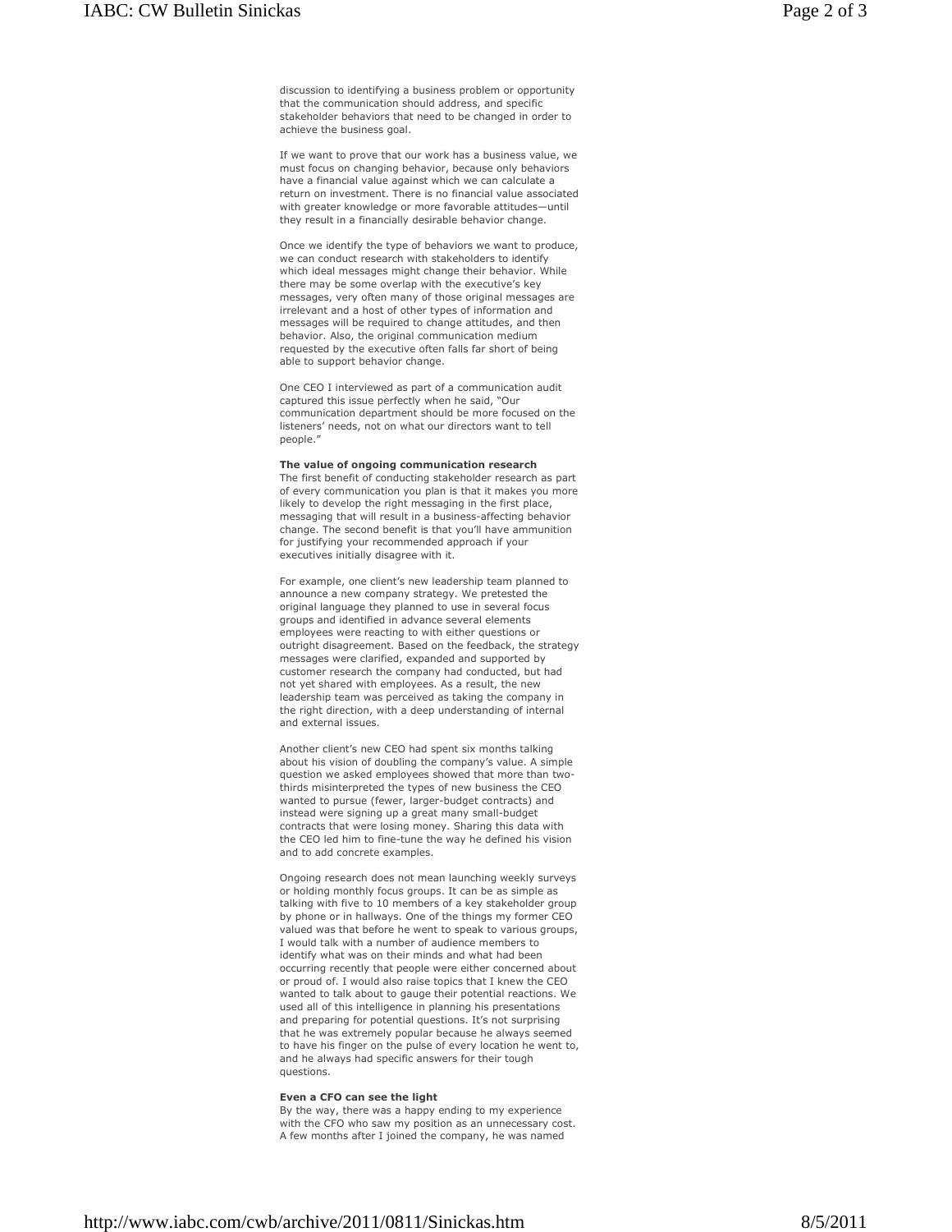If we want to prove that our work has a business value, we must focus on changing behavior, because only behaviors have a financial value against which we can calculate a return on investment. There is no financial value associated with greater knowledge or more favorable attitudes-until they result in a financially desirable behavior change.

stakeholder behaviors that need to be changed in order to

achieve the business goal.

Once we identify the type of behaviors we want to produce, we can conduct research with stakeholders to identify which ideal messages might change their behavior. While there may be some overlap with the executive's key messages, very often many of those original messages are irrelevant and a host of other types of information and messages will be required to change attitudes, and then behavior. Also, the original communication medium requested by the executive often falls far short of being able to support behavior change.

One CEO I interviewed as part of a communication audit captured this issue perfectly when he said. "Our communication department should be more focused on the listeners' needs, not on what our directors want to tell people."

## The value of ongoing communication research

The first benefit of conducting stakeholder research as part of every communication you plan is that it makes you more likely to develop the right messaging in the first place, messaging that will result in a business-affecting behavior change. The second benefit is that you'll have ammunition for justifying your recommended approach if your executives initially disagree with it.

For example, one client's new leadership team planned to announce a new company strategy. We pretested the original language they planned to use in several focus groups and identified in advance several elements employees were reacting to with either questions or outright disagreement. Based on the feedback, the strategy messages were clarified, expanded and supported by customer research the company had conducted, but had not yet shared with employees. As a result, the new leadership team was perceived as taking the company in the right direction, with a deep understanding of internal and external issues.

Another client's new CEO had spent six months talking about his vision of doubling the company's value. A simple question we asked employees showed that more than twothirds misinterpreted the types of new business the CEO wanted to pursue (fewer, larger-budget contracts) and instead were signing up a great many small-budget contracts that were losing money. Sharing this data with the CEO led him to fine-tune the way he defined his vision and to add concrete examples.

Ongoing research does not mean launching weekly surveys or holding monthly focus groups. It can be as simple as talking with five to 10 members of a key stakeholder group by phone or in hallways. One of the things my former CEO valued was that before he went to speak to various groups. I would talk with a number of audience members to identify what was on their minds and what had been occurring recently that people were either concerned about or proud of. I would also raise topics that I knew the CEO wanted to talk about to gauge their potential reactions. We used all of this intelligence in planning his presentations and preparing for potential questions. It's not surprising that he was extremely popular because he always seemed to have his finger on the pulse of every location he went to, and he always had specific answers for their tough questions.

#### Even a CFO can see the light

By the way, there was a happy ending to my experience with the CFO who saw my position as an unnecessary cost. A few months after I joined the company, he was named